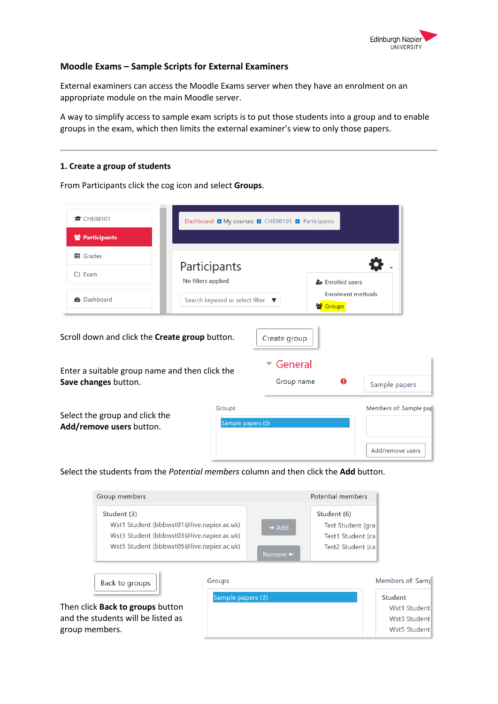

## **Moodle Exams – Sample Scripts for External Examiners**

External examiners can access the Moodle Exams server when they have an enrolment on an appropriate module on the main Moodle server.

A way to simplify access to sample exam scripts is to put those students into a group and to enable groups in the exam, which then limits the external examiner's view to only those papers.

## **1. Create a group of students**

From Participants click the cog icon and select **Groups**.

| CHE08101                                                                                         | Dashboard My courses 2 CHE08101 2 Participants |                         |                                          |                    |                        |
|--------------------------------------------------------------------------------------------------|------------------------------------------------|-------------------------|------------------------------------------|--------------------|------------------------|
| 警 Participants                                                                                   |                                                |                         |                                          |                    |                        |
| <b>田</b> Grades                                                                                  |                                                |                         |                                          |                    |                        |
| □ Exam                                                                                           | Participants<br>No filters applied             |                         | & Enrolled users                         |                    |                        |
| <b>B</b> Dashboard                                                                               | Search keyword or select filter ▼              |                         | Enrolment methods<br><sup>2</sup> Groups |                    |                        |
| Scroll down and click the Create group button.<br>Enter a suitable group name and then click the |                                                | Create group<br>General |                                          |                    |                        |
| Save changes button.                                                                             |                                                | Group name              |                                          | Q<br>Sample papers |                        |
| Select the group and click the<br>Add/remove users button.                                       | Groups<br>Sample papers (0)                    |                         |                                          |                    | Members of: Sample pap |
|                                                                                                  |                                                |                         |                                          |                    | Add/remove users       |

Select the students from the *Potential members* column and then click the **Add** button.

| Group members                             |                              | Potential members |
|-------------------------------------------|------------------------------|-------------------|
| Student (3)                               |                              | Student (6)       |
| Wst1 Student (bbbwst01@live.napier.ac.uk) | $\triangleleft$ Add          | Test Student (gra |
| Wst3 Student (bbbwst03@live.napier.ac.uk) |                              | Test1 Student (ca |
| Wst5 Student (bbbwst05@live.napier.ac.uk) |                              | Test2 Student (ca |
|                                           | Remove $\blacktriangleright$ |                   |

| Back to groups                          |                |
|-----------------------------------------|----------------|
| Sample papers (3)                       | <b>Student</b> |
| Then click <b>Back to groups</b> button | Wst1 Student   |
| and the students will be listed as      | Wst3 Student   |
| group members.                          | Wst5 Student   |